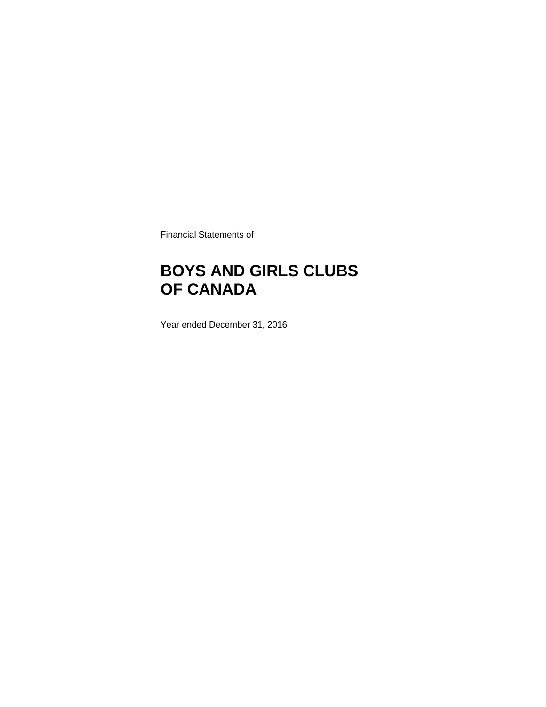Financial Statements of

### **BOYS AND GIRLS CLUBS OF CANADA**

Year ended December 31, 2016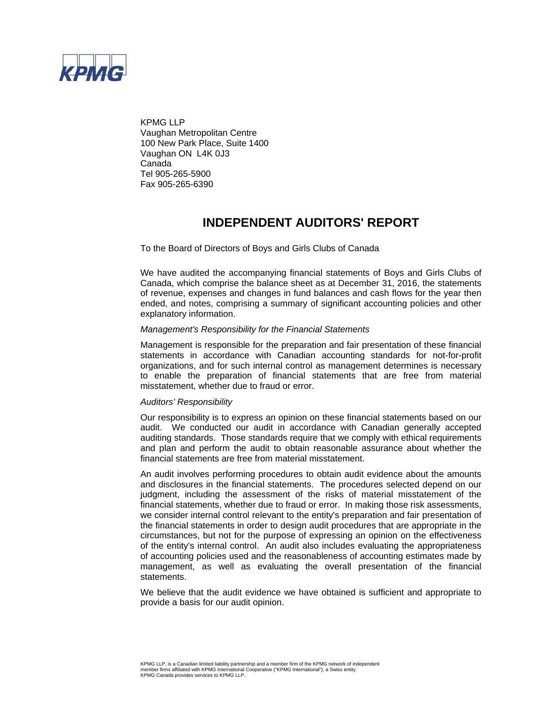

KPMG LLP Vaughan Metropolitan Centre 100 New Park Place, Suite 1400 Vaughan ON L4K 0J3 Canada Tel 905-265-5900 Fax 905-265-6390

### **INDEPENDENT AUDITORS' REPORT**

To the Board of Directors of Boys and Girls Clubs of Canada

We have audited the accompanying financial statements of Boys and Girls Clubs of Canada, which comprise the balance sheet as at December 31, 2016, the statements of revenue, expenses and changes in fund balances and cash flows for the year then ended, and notes, comprising a summary of significant accounting policies and other explanatory information.

#### *Management's Responsibility for the Financial Statements*

Management is responsible for the preparation and fair presentation of these financial statements in accordance with Canadian accounting standards for not-for-profit organizations, and for such internal control as management determines is necessary to enable the preparation of financial statements that are free from material misstatement, whether due to fraud or error.

#### *Auditors' Responsibility*

Our responsibility is to express an opinion on these financial statements based on our audit. We conducted our audit in accordance with Canadian generally accepted auditing standards. Those standards require that we comply with ethical requirements and plan and perform the audit to obtain reasonable assurance about whether the financial statements are free from material misstatement.

An audit involves performing procedures to obtain audit evidence about the amounts and disclosures in the financial statements. The procedures selected depend on our judgment, including the assessment of the risks of material misstatement of the financial statements, whether due to fraud or error. In making those risk assessments, we consider internal control relevant to the entity's preparation and fair presentation of the financial statements in order to design audit procedures that are appropriate in the circumstances, but not for the purpose of expressing an opinion on the effectiveness of the entity's internal control. An audit also includes evaluating the appropriateness of accounting policies used and the reasonableness of accounting estimates made by management, as well as evaluating the overall presentation of the financial statements.

We believe that the audit evidence we have obtained is sufficient and appropriate to provide a basis for our audit opinion.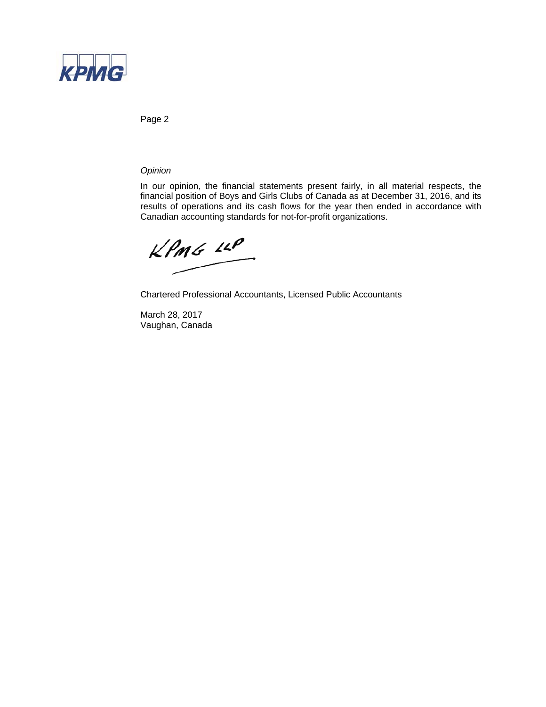

Page 2

#### *Opinion*

In our opinion, the financial statements present fairly, in all material respects, the financial position of Boys and Girls Clubs of Canada as at December 31, 2016, and its results of operations and its cash flows for the year then ended in accordance with Canadian accounting standards for not-for-profit organizations.

 $KPMG$  14P

Chartered Professional Accountants, Licensed Public Accountants

March 28, 2017 Vaughan, Canada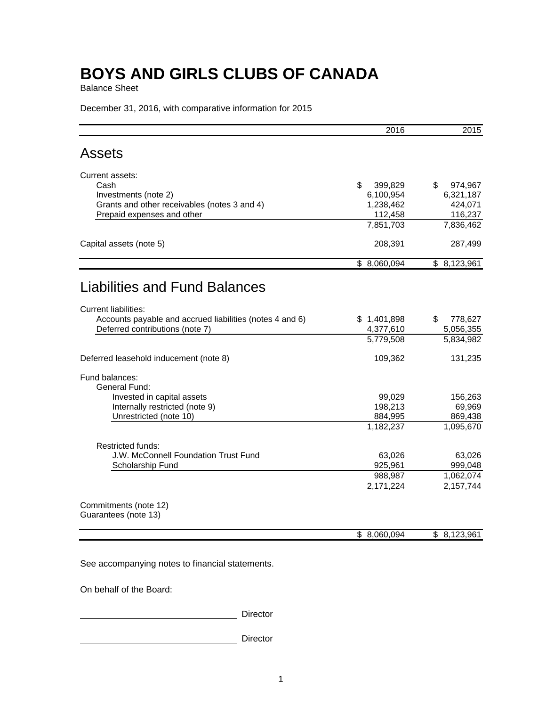Balance Sheet

December 31, 2016, with comparative information for 2015

|                                                          | 2016          | 2015          |
|----------------------------------------------------------|---------------|---------------|
| <b>Assets</b>                                            |               |               |
| Current assets:                                          |               |               |
| Cash                                                     | \$<br>399,829 | \$<br>974,967 |
| Investments (note 2)                                     | 6,100,954     | 6,321,187     |
| Grants and other receivables (notes 3 and 4)             | 1,238,462     | 424,071       |
| Prepaid expenses and other                               | 112,458       | 116,237       |
|                                                          | 7,851,703     | 7,836,462     |
| Capital assets (note 5)                                  | 208,391       | 287,499       |
|                                                          | \$8,060,094   | \$8,123,961   |
| <b>Liabilities and Fund Balances</b>                     |               |               |
| <b>Current liabilities:</b>                              |               |               |
| Accounts payable and accrued liabilities (notes 4 and 6) | \$1,401,898   | \$<br>778,627 |
| Deferred contributions (note 7)                          | 4,377,610     | 5,056,355     |
|                                                          | 5,779,508     | 5,834,982     |
| Deferred leasehold inducement (note 8)                   | 109,362       | 131,235       |
| Fund balances:                                           |               |               |
| General Fund:                                            |               |               |
| Invested in capital assets                               | 99,029        | 156,263       |
| Internally restricted (note 9)                           | 198,213       | 69,969        |
| Unrestricted (note 10)                                   | 884,995       | 869,438       |
|                                                          | 1,182,237     | 1,095,670     |
| Restricted funds:                                        |               |               |
| J.W. McConnell Foundation Trust Fund                     | 63,026        | 63,026        |
| Scholarship Fund                                         | 925,961       | 999,048       |
|                                                          | 988,987       | 1,062,074     |
|                                                          | 2,171,224     | 2,157,744     |
| Commitments (note 12)<br>Guarantees (note 13)            |               |               |
|                                                          |               |               |
|                                                          | \$8,060,094   | \$8,123,961   |

See accompanying notes to financial statements.

On behalf of the Board:

Director

Director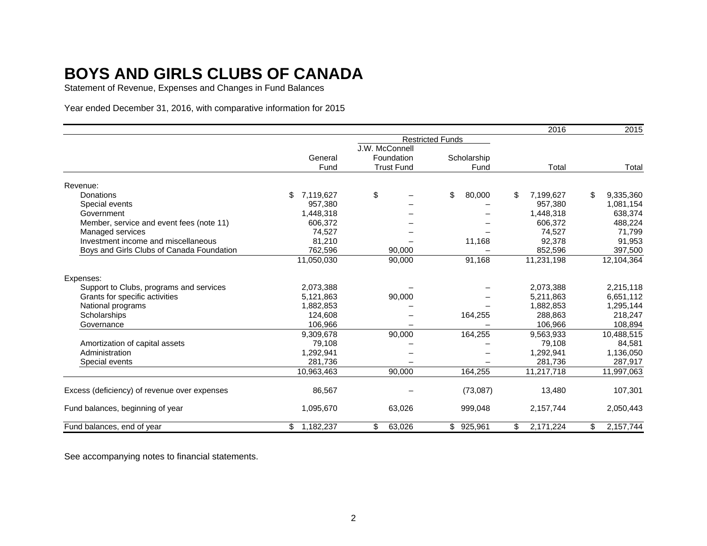Statement of Revenue, Expenses and Changes in Fund Balances

Year ended December 31, 2016, with comparative information for 2015

|                                              |                 |                   |                         | 2016            | 2015            |
|----------------------------------------------|-----------------|-------------------|-------------------------|-----------------|-----------------|
|                                              |                 |                   | <b>Restricted Funds</b> |                 |                 |
|                                              |                 | J.W. McConnell    |                         |                 |                 |
|                                              | General         | Foundation        | Scholarship             |                 |                 |
|                                              | Fund            | <b>Trust Fund</b> | Fund                    | Total           | Total           |
| Revenue:                                     |                 |                   |                         |                 |                 |
| Donations                                    | \$<br>7,119,627 | \$                | \$<br>80,000            | 7,199,627<br>S  | 9,335,360<br>\$ |
| Special events                               | 957,380         |                   |                         | 957,380         | 1,081,154       |
| Government                                   | 1,448,318       |                   |                         | 1,448,318       | 638,374         |
| Member, service and event fees (note 11)     | 606,372         |                   |                         | 606.372         | 488,224         |
| Managed services                             | 74,527          |                   |                         | 74,527          | 71,799          |
| Investment income and miscellaneous          | 81,210          |                   | 11,168                  | 92,378          | 91,953          |
| Boys and Girls Clubs of Canada Foundation    | 762,596         | 90,000            |                         | 852,596         | 397,500         |
|                                              | 11,050,030      | 90,000            | 91,168                  | 11,231,198      | 12,104,364      |
| Expenses:                                    |                 |                   |                         |                 |                 |
| Support to Clubs, programs and services      | 2,073,388       |                   |                         | 2,073,388       | 2,215,118       |
| Grants for specific activities               | 5,121,863       | 90,000            |                         | 5,211,863       | 6,651,112       |
| National programs                            | 1,882,853       |                   |                         | 1,882,853       | 1,295,144       |
| Scholarships                                 | 124,608         |                   | 164,255                 | 288,863         | 218,247         |
| Governance                                   | 106,966         |                   |                         | 106,966         | 108,894         |
|                                              | 9,309,678       | 90,000            | 164,255                 | 9,563,933       | 10,488,515      |
| Amortization of capital assets               | 79,108          |                   |                         | 79,108          | 84,581          |
| Administration                               | 1,292,941       |                   |                         | 1,292,941       | 1,136,050       |
| Special events                               | 281.736         |                   |                         | 281.736         | 287,917         |
|                                              | 10,963,463      | 90,000            | 164,255                 | 11,217,718      | 11,997,063      |
| Excess (deficiency) of revenue over expenses | 86,567          |                   | (73,087)                | 13,480          | 107,301         |
| Fund balances, beginning of year             | 1,095,670       | 63,026            | 999,048                 | 2,157,744       | 2,050,443       |
| Fund balances, end of year                   | \$<br>1,182,237 | \$<br>63,026      | \$925,961               | \$<br>2,171,224 | 2,157,744<br>\$ |

See accompanying notes to financial statements.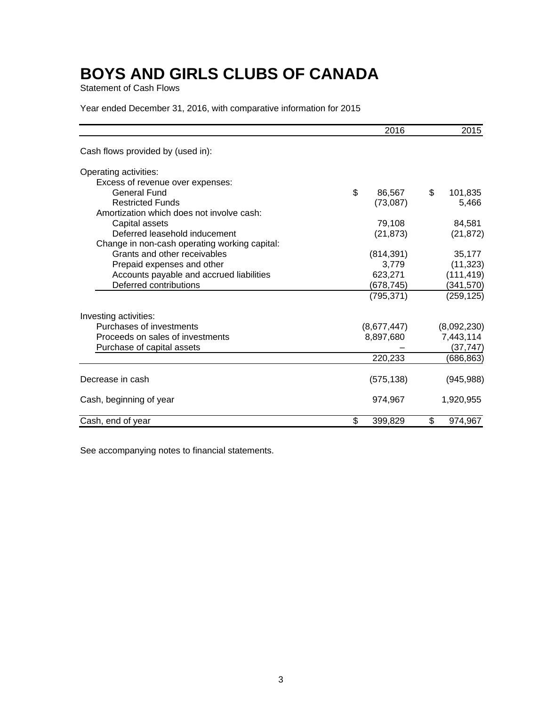Statement of Cash Flows

Year ended December 31, 2016, with comparative information for 2015

|                                               | 2016          | 2015          |
|-----------------------------------------------|---------------|---------------|
| Cash flows provided by (used in):             |               |               |
| Operating activities:                         |               |               |
| Excess of revenue over expenses:              |               |               |
| General Fund                                  | \$<br>86,567  | \$<br>101,835 |
| <b>Restricted Funds</b>                       | (73,087)      | 5,466         |
| Amortization which does not involve cash:     |               |               |
| Capital assets                                | 79,108        | 84,581        |
| Deferred leasehold inducement                 | (21, 873)     | (21, 872)     |
| Change in non-cash operating working capital: |               |               |
| Grants and other receivables                  | (814, 391)    | 35,177        |
| Prepaid expenses and other                    | 3,779         | (11, 323)     |
| Accounts payable and accrued liabilities      | 623,271       | (111, 419)    |
| Deferred contributions                        | (678,745)     | (341, 570)    |
|                                               | (795, 371)    | (259, 125)    |
| Investing activities:                         |               |               |
| Purchases of investments                      | (8,677,447)   | (8,092,230)   |
| Proceeds on sales of investments              | 8,897,680     | 7,443,114     |
| Purchase of capital assets                    |               | (37,747)      |
|                                               | 220,233       | (686,863)     |
| Decrease in cash                              | (575, 138)    | (945, 988)    |
| Cash, beginning of year                       | 974,967       | 1,920,955     |
| Cash, end of year                             | \$<br>399,829 | \$<br>974,967 |

See accompanying notes to financial statements.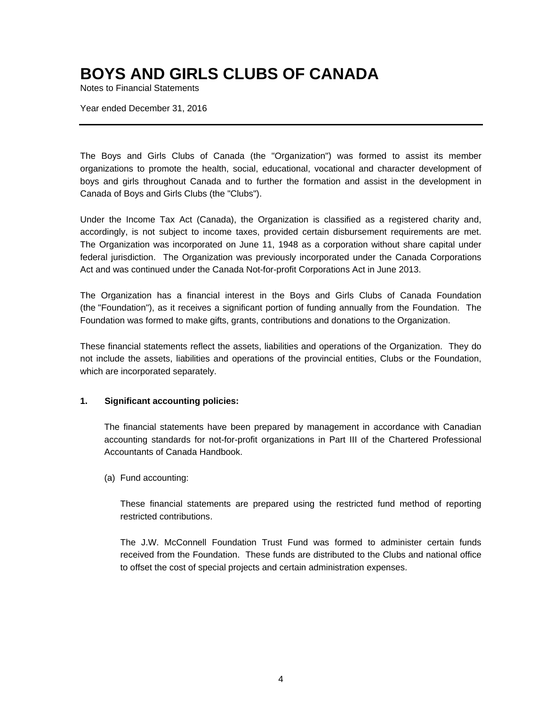Notes to Financial Statements

Year ended December 31, 2016

The Boys and Girls Clubs of Canada (the "Organization") was formed to assist its member organizations to promote the health, social, educational, vocational and character development of boys and girls throughout Canada and to further the formation and assist in the development in Canada of Boys and Girls Clubs (the "Clubs").

Under the Income Tax Act (Canada), the Organization is classified as a registered charity and, accordingly, is not subject to income taxes, provided certain disbursement requirements are met. The Organization was incorporated on June 11, 1948 as a corporation without share capital under federal jurisdiction. The Organization was previously incorporated under the Canada Corporations Act and was continued under the Canada Not-for-profit Corporations Act in June 2013.

The Organization has a financial interest in the Boys and Girls Clubs of Canada Foundation (the "Foundation"), as it receives a significant portion of funding annually from the Foundation. The Foundation was formed to make gifts, grants, contributions and donations to the Organization.

These financial statements reflect the assets, liabilities and operations of the Organization. They do not include the assets, liabilities and operations of the provincial entities, Clubs or the Foundation, which are incorporated separately.

#### **1. Significant accounting policies:**

The financial statements have been prepared by management in accordance with Canadian accounting standards for not-for-profit organizations in Part III of the Chartered Professional Accountants of Canada Handbook.

(a) Fund accounting:

These financial statements are prepared using the restricted fund method of reporting restricted contributions.

The J.W. McConnell Foundation Trust Fund was formed to administer certain funds received from the Foundation. These funds are distributed to the Clubs and national office to offset the cost of special projects and certain administration expenses.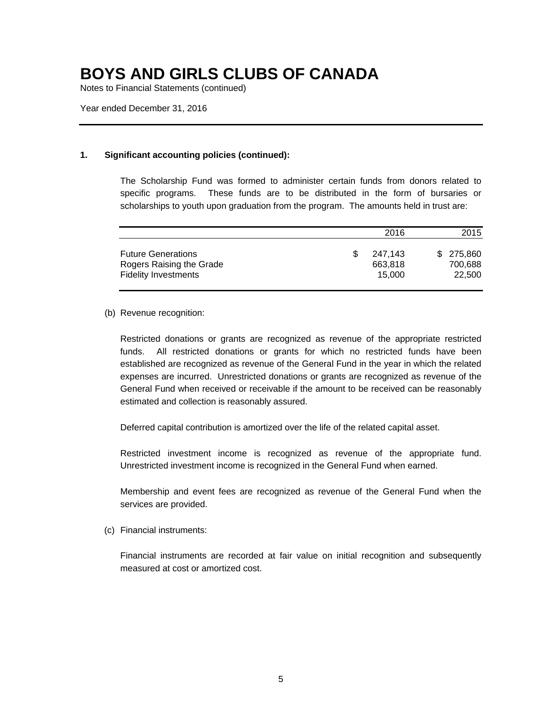Notes to Financial Statements (continued)

#### Year ended December 31, 2016

#### **1. Significant accounting policies (continued):**

The Scholarship Fund was formed to administer certain funds from donors related to specific programs. These funds are to be distributed in the form of bursaries or scholarships to youth upon graduation from the program. The amounts held in trust are:

|                             | 2016    | 2015      |
|-----------------------------|---------|-----------|
| <b>Future Generations</b>   | 247.143 | \$275,860 |
| Rogers Raising the Grade    | 663,818 | 700.688   |
| <b>Fidelity Investments</b> | 15.000  | 22,500    |

#### (b) Revenue recognition:

Restricted donations or grants are recognized as revenue of the appropriate restricted funds. All restricted donations or grants for which no restricted funds have been established are recognized as revenue of the General Fund in the year in which the related expenses are incurred. Unrestricted donations or grants are recognized as revenue of the General Fund when received or receivable if the amount to be received can be reasonably estimated and collection is reasonably assured.

Deferred capital contribution is amortized over the life of the related capital asset.

Restricted investment income is recognized as revenue of the appropriate fund. Unrestricted investment income is recognized in the General Fund when earned.

Membership and event fees are recognized as revenue of the General Fund when the services are provided.

(c) Financial instruments:

Financial instruments are recorded at fair value on initial recognition and subsequently measured at cost or amortized cost.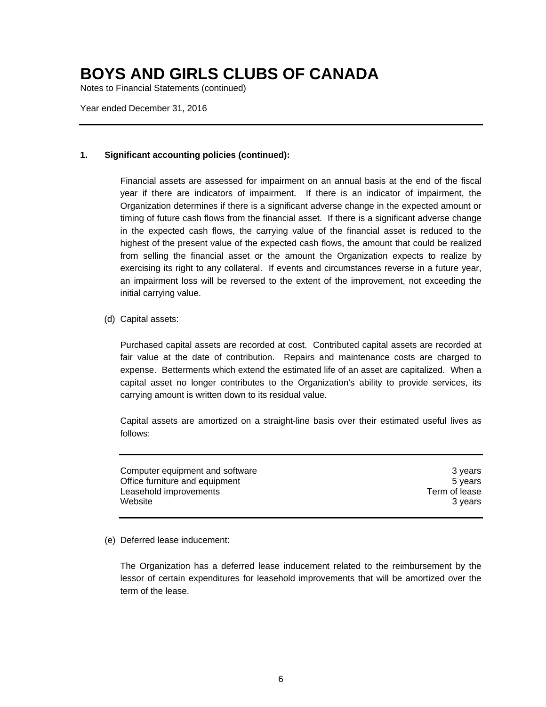Notes to Financial Statements (continued)

Year ended December 31, 2016

#### **1. Significant accounting policies (continued):**

Financial assets are assessed for impairment on an annual basis at the end of the fiscal year if there are indicators of impairment. If there is an indicator of impairment, the Organization determines if there is a significant adverse change in the expected amount or timing of future cash flows from the financial asset. If there is a significant adverse change in the expected cash flows, the carrying value of the financial asset is reduced to the highest of the present value of the expected cash flows, the amount that could be realized from selling the financial asset or the amount the Organization expects to realize by exercising its right to any collateral. If events and circumstances reverse in a future year, an impairment loss will be reversed to the extent of the improvement, not exceeding the initial carrying value.

(d) Capital assets:

Purchased capital assets are recorded at cost. Contributed capital assets are recorded at fair value at the date of contribution. Repairs and maintenance costs are charged to expense. Betterments which extend the estimated life of an asset are capitalized. When a capital asset no longer contributes to the Organization's ability to provide services, its carrying amount is written down to its residual value.

Capital assets are amortized on a straight-line basis over their estimated useful lives as follows:

Computer equipment and software 3 years 3 years Office furniture and equipment 5 years 5 years 5 years 5 years 5 years 5 years 5 years 5 years 5 years 5 years Leasehold improvements **Term of lease** Term of lease website 3 years 3 years and the set of the set of the set of the set of the set of the set of the set of the set of the set of the set of the set of the set of the set of the set of the set of the set of the set of the set

#### (e) Deferred lease inducement:

The Organization has a deferred lease inducement related to the reimbursement by the lessor of certain expenditures for leasehold improvements that will be amortized over the term of the lease.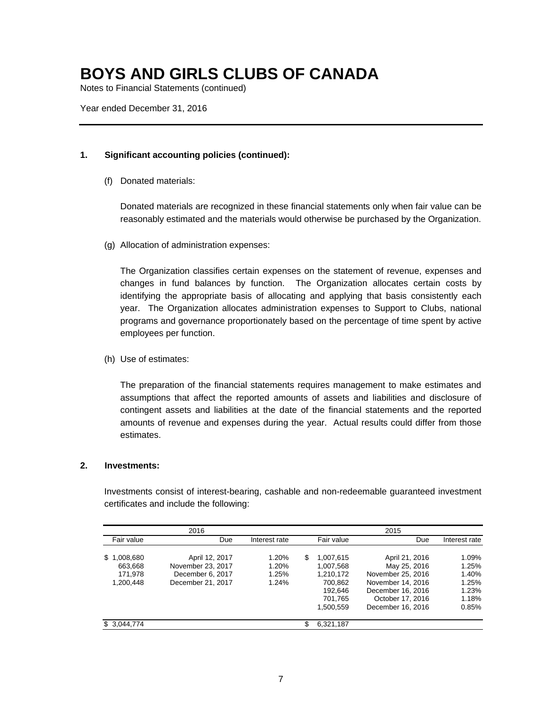Notes to Financial Statements (continued)

Year ended December 31, 2016

#### **1. Significant accounting policies (continued):**

(f) Donated materials:

Donated materials are recognized in these financial statements only when fair value can be reasonably estimated and the materials would otherwise be purchased by the Organization.

(g) Allocation of administration expenses:

The Organization classifies certain expenses on the statement of revenue, expenses and changes in fund balances by function. The Organization allocates certain costs by identifying the appropriate basis of allocating and applying that basis consistently each year. The Organization allocates administration expenses to Support to Clubs, national programs and governance proportionately based on the percentage of time spent by active employees per function.

(h) Use of estimates:

The preparation of the financial statements requires management to make estimates and assumptions that affect the reported amounts of assets and liabilities and disclosure of contingent assets and liabilities at the date of the financial statements and the reported amounts of revenue and expenses during the year. Actual results could differ from those estimates.

#### **2. Investments:**

Investments consist of interest-bearing, cashable and non-redeemable guaranteed investment certificates and include the following:

|     |                                             | 2016                                                                         |                                  |                                                                                         | 2015                                                                                                                                   |                                                             |
|-----|---------------------------------------------|------------------------------------------------------------------------------|----------------------------------|-----------------------------------------------------------------------------------------|----------------------------------------------------------------------------------------------------------------------------------------|-------------------------------------------------------------|
|     | Fair value                                  | Due                                                                          | Interest rate                    | Fair value                                                                              | Due                                                                                                                                    | Interest rate                                               |
| \$1 | ,008,680<br>663,668<br>171.978<br>1.200.448 | April 12, 2017<br>November 23, 2017<br>December 6, 2017<br>December 21, 2017 | 1.20%<br>1.20%<br>1.25%<br>1.24% | \$<br>1,007,615<br>1,007,568<br>1.210.172<br>700.862<br>192.646<br>701.765<br>1.500.559 | April 21, 2016<br>May 25, 2016<br>November 25, 2016<br>November 14, 2016<br>December 16, 2016<br>October 17, 2016<br>December 16, 2016 | 1.09%<br>1.25%<br>1.40%<br>1.25%<br>1.23%<br>1.18%<br>0.85% |
|     | \$ 3.044.774                                |                                                                              |                                  | \$<br>6,321,187                                                                         |                                                                                                                                        |                                                             |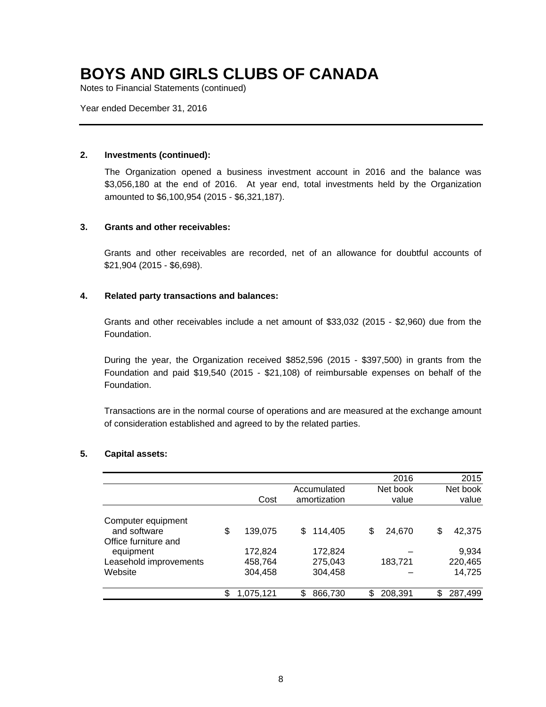Notes to Financial Statements (continued)

#### Year ended December 31, 2016

#### **2. Investments (continued):**

The Organization opened a business investment account in 2016 and the balance was \$3,056,180 at the end of 2016. At year end, total investments held by the Organization amounted to \$6,100,954 (2015 - \$6,321,187).

#### **3. Grants and other receivables:**

Grants and other receivables are recorded, net of an allowance for doubtful accounts of \$21,904 (2015 - \$6,698).

#### **4. Related party transactions and balances:**

Grants and other receivables include a net amount of \$33,032 (2015 - \$2,960) due from the Foundation.

During the year, the Organization received \$852,596 (2015 - \$397,500) in grants from the Foundation and paid \$19,540 (2015 - \$21,108) of reimbursable expenses on behalf of the Foundation.

Transactions are in the normal course of operations and are measured at the exchange amount of consideration established and agreed to by the related parties.

#### **5. Capital assets:**

|                        |                 |               | 2016           | 2015          |
|------------------------|-----------------|---------------|----------------|---------------|
|                        |                 | Accumulated   | Net book       | Net book      |
|                        | Cost            | amortization  | value          | value         |
| Computer equipment     |                 |               |                |               |
| and software           | \$<br>139,075   | 114,405<br>\$ | 24,670<br>\$   | \$<br>42,375  |
| Office furniture and   |                 |               |                |               |
| equipment              | 172,824         | 172,824       |                | 9,934         |
| Leasehold improvements | 458,764         | 275,043       | 183,721        | 220,465       |
| Website                | 304.458         | 304,458       |                | 14,725        |
|                        | \$<br>1,075,121 | 866,730<br>S. | 208,391<br>\$. | 287,499<br>\$ |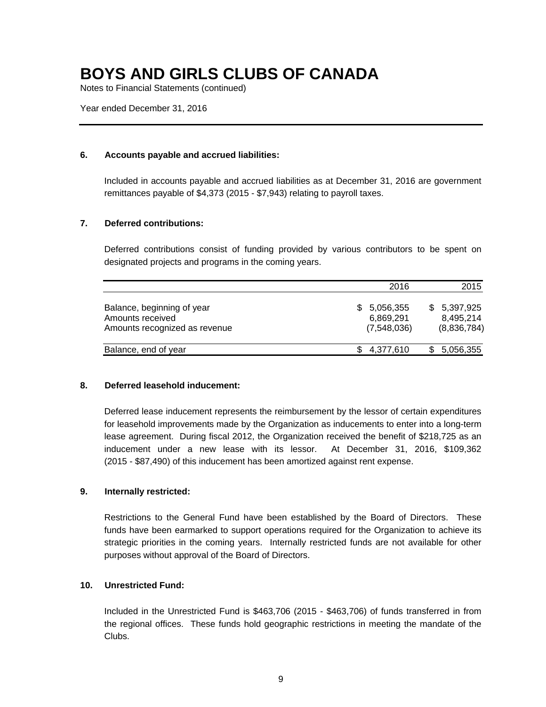Notes to Financial Statements (continued)

Year ended December 31, 2016

#### **6. Accounts payable and accrued liabilities:**

Included in accounts payable and accrued liabilities as at December 31, 2016 are government remittances payable of \$4,373 (2015 - \$7,943) relating to payroll taxes.

#### **7. Deferred contributions:**

Deferred contributions consist of funding provided by various contributors to be spent on designated projects and programs in the coming years.

|                                                                                 | 2016                                  | 2015                                         |
|---------------------------------------------------------------------------------|---------------------------------------|----------------------------------------------|
| Balance, beginning of year<br>Amounts received<br>Amounts recognized as revenue | 5,056,355<br>6.869.291<br>(7,548,036) | 5,397,925<br>SS.<br>8.495.214<br>(8,836,784) |
| Balance, end of year                                                            | 4,377,610                             | 5,056,355                                    |

#### **8. Deferred leasehold inducement:**

Deferred lease inducement represents the reimbursement by the lessor of certain expenditures for leasehold improvements made by the Organization as inducements to enter into a long-term lease agreement. During fiscal 2012, the Organization received the benefit of \$218,725 as an inducement under a new lease with its lessor. At December 31, 2016, \$109,362 (2015 - \$87,490) of this inducement has been amortized against rent expense.

#### **9. Internally restricted:**

Restrictions to the General Fund have been established by the Board of Directors. These funds have been earmarked to support operations required for the Organization to achieve its strategic priorities in the coming years. Internally restricted funds are not available for other purposes without approval of the Board of Directors.

#### **10. Unrestricted Fund:**

Included in the Unrestricted Fund is \$463,706 (2015 - \$463,706) of funds transferred in from the regional offices. These funds hold geographic restrictions in meeting the mandate of the Clubs.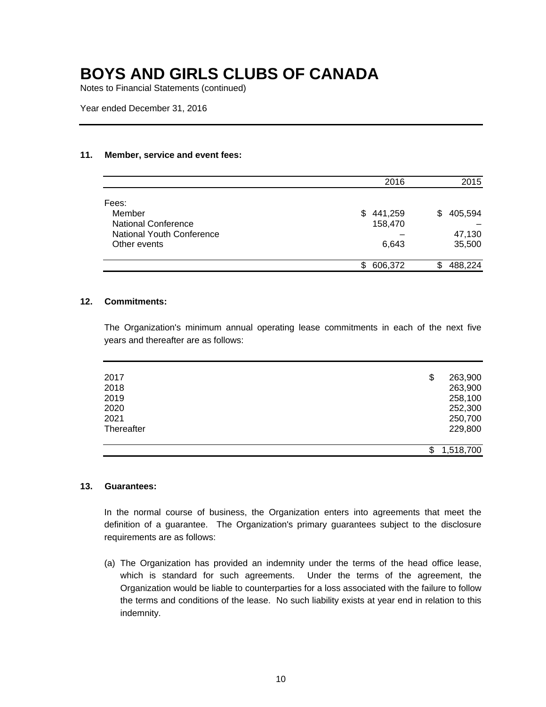Notes to Financial Statements (continued)

Year ended December 31, 2016

#### **11. Member, service and event fees:**

|                                  | 2016          | 2015           |
|----------------------------------|---------------|----------------|
| Fees:<br>Member                  | 441,259<br>S. | 405,594<br>\$. |
| <b>National Conference</b>       | 158,470       |                |
| <b>National Youth Conference</b> |               | 47,130         |
| Other events                     | 6,643         | 35,500         |
|                                  | 606,372       | 488,224<br>\$  |

#### **12. Commitments:**

The Organization's minimum annual operating lease commitments in each of the next five years and thereafter are as follows:

| 2017       | 263,900<br>\$   |
|------------|-----------------|
| 2018       | 263,900         |
| 2019       | 258,100         |
| 2020       | 252,300         |
| 2021       | 250,700         |
| Thereafter | 229,800         |
|            |                 |
|            | 1,518,700<br>\$ |

#### **13. Guarantees:**

In the normal course of business, the Organization enters into agreements that meet the definition of a guarantee. The Organization's primary guarantees subject to the disclosure requirements are as follows:

(a) The Organization has provided an indemnity under the terms of the head office lease, which is standard for such agreements. Under the terms of the agreement, the Organization would be liable to counterparties for a loss associated with the failure to follow the terms and conditions of the lease. No such liability exists at year end in relation to this indemnity.